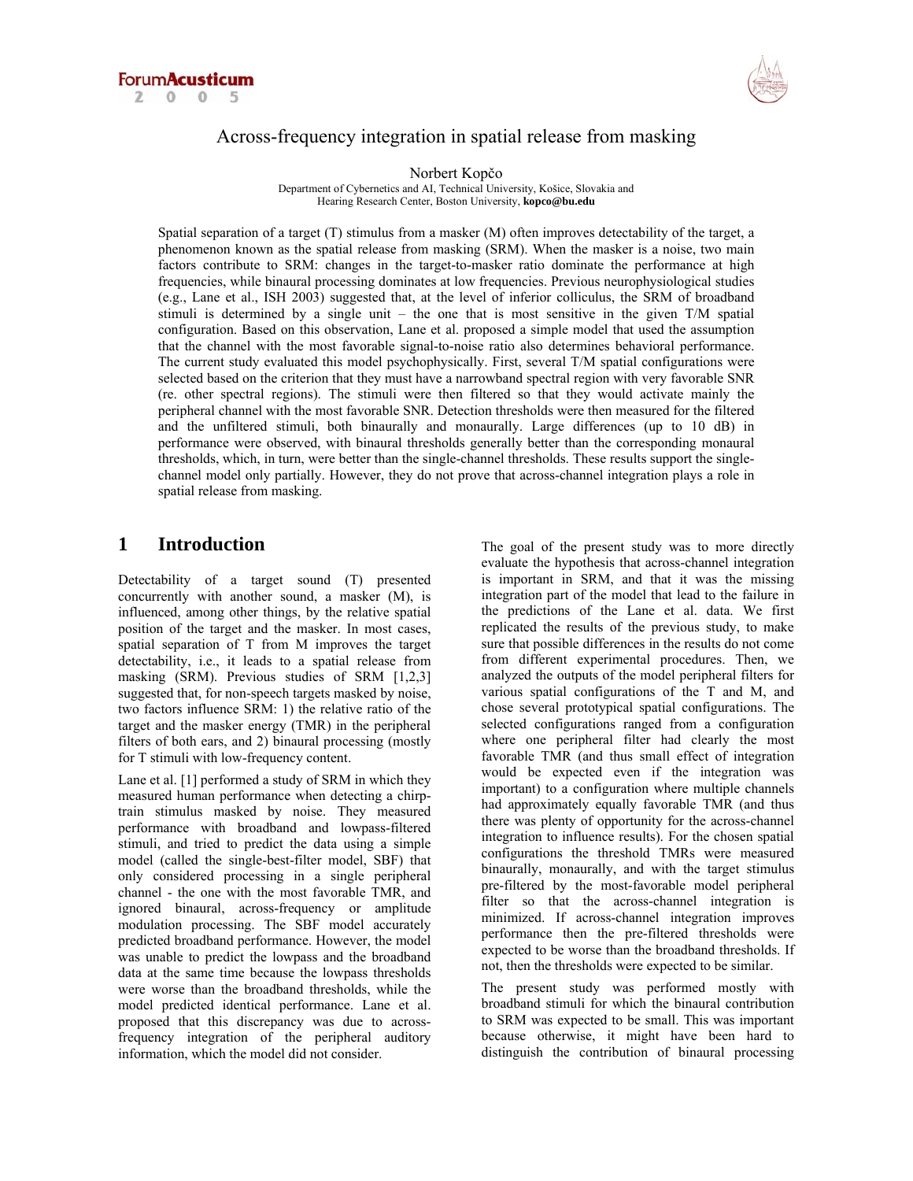

## Across-frequency integration in spatial release from masking

Norbert Kopčo

Department of Cybernetics and AI, Technical University, Košice, Slovakia and Hearing Research Center, Boston University, **kopco@bu.edu**

Spatial separation of a target (T) stimulus from a masker (M) often improves detectability of the target, a phenomenon known as the spatial release from masking (SRM). When the masker is a noise, two main factors contribute to SRM: changes in the target-to-masker ratio dominate the performance at high frequencies, while binaural processing dominates at low frequencies. Previous neurophysiological studies (e.g., Lane et al., ISH 2003) suggested that, at the level of inferior colliculus, the SRM of broadband stimuli is determined by a single unit – the one that is most sensitive in the given T/M spatial configuration. Based on this observation, Lane et al. proposed a simple model that used the assumption that the channel with the most favorable signal-to-noise ratio also determines behavioral performance. The current study evaluated this model psychophysically. First, several T/M spatial configurations were selected based on the criterion that they must have a narrowband spectral region with very favorable SNR (re. other spectral regions). The stimuli were then filtered so that they would activate mainly the peripheral channel with the most favorable SNR. Detection thresholds were then measured for the filtered and the unfiltered stimuli, both binaurally and monaurally. Large differences (up to 10 dB) in performance were observed, with binaural thresholds generally better than the corresponding monaural thresholds, which, in turn, were better than the single-channel thresholds. These results support the singlechannel model only partially. However, they do not prove that across-channel integration plays a role in spatial release from masking.

# **1 Introduction**

Detectability of a target sound (T) presented concurrently with another sound, a masker (M), is influenced, among other things, by the relative spatial position of the target and the masker. In most cases, spatial separation of T from M improves the target detectability, i.e., it leads to a spatial release from masking (SRM). Previous studies of SRM [1,2,3] suggested that, for non-speech targets masked by noise, two factors influence SRM: 1) the relative ratio of the target and the masker energy (TMR) in the peripheral filters of both ears, and 2) binaural processing (mostly for T stimuli with low-frequency content.

Lane et al. [1] performed a study of SRM in which they measured human performance when detecting a chirptrain stimulus masked by noise. They measured performance with broadband and lowpass-filtered stimuli, and tried to predict the data using a simple model (called the single-best-filter model, SBF) that only considered processing in a single peripheral channel - the one with the most favorable TMR, and ignored binaural, across-frequency or amplitude modulation processing. The SBF model accurately predicted broadband performance. However, the model was unable to predict the lowpass and the broadband data at the same time because the lowpass thresholds were worse than the broadband thresholds, while the model predicted identical performance. Lane et al. proposed that this discrepancy was due to acrossfrequency integration of the peripheral auditory information, which the model did not consider.

The goal of the present study was to more directly evaluate the hypothesis that across-channel integration is important in SRM, and that it was the missing integration part of the model that lead to the failure in the predictions of the Lane et al. data. We first replicated the results of the previous study, to make sure that possible differences in the results do not come from different experimental procedures. Then, we analyzed the outputs of the model peripheral filters for various spatial configurations of the T and M, and chose several prototypical spatial configurations. The selected configurations ranged from a configuration where one peripheral filter had clearly the most favorable TMR (and thus small effect of integration would be expected even if the integration was important) to a configuration where multiple channels had approximately equally favorable TMR (and thus there was plenty of opportunity for the across-channel integration to influence results). For the chosen spatial configurations the threshold TMRs were measured binaurally, monaurally, and with the target stimulus pre-filtered by the most-favorable model peripheral filter so that the across-channel integration is minimized. If across-channel integration improves performance then the pre-filtered thresholds were expected to be worse than the broadband thresholds. If not, then the thresholds were expected to be similar.

The present study was performed mostly with broadband stimuli for which the binaural contribution to SRM was expected to be small. This was important because otherwise, it might have been hard to distinguish the contribution of binaural processing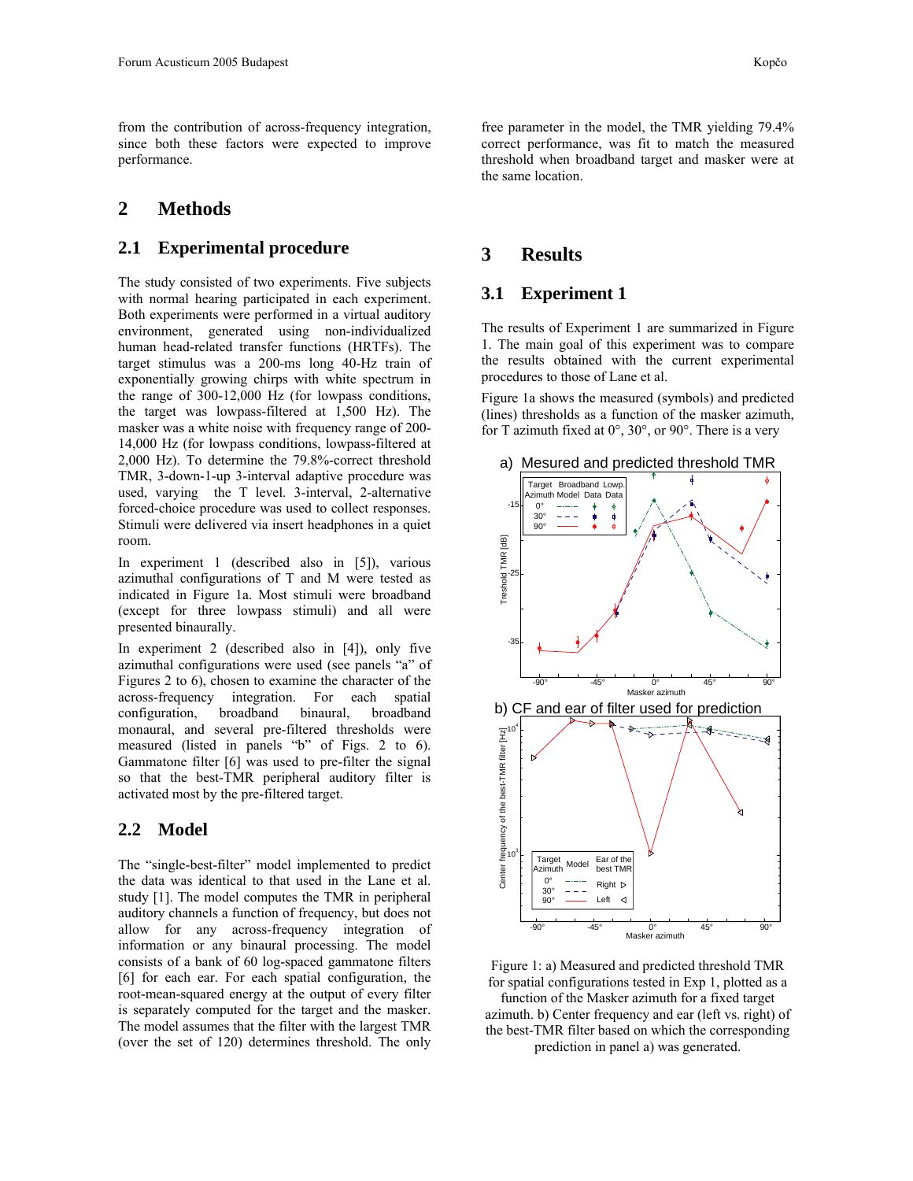from the contribution of across-frequency integration, since both these factors were expected to improve performance.

## **2 Methods**

#### **2.1 Experimental procedure**

The study consisted of two experiments. Five subjects with normal hearing participated in each experiment. Both experiments were performed in a virtual auditory environment, generated using non-individualized human head-related transfer functions (HRTFs). The target stimulus was a 200-ms long 40-Hz train of exponentially growing chirps with white spectrum in the range of 300-12,000 Hz (for lowpass conditions, the target was lowpass-filtered at 1,500 Hz). The masker was a white noise with frequency range of 200- 14,000 Hz (for lowpass conditions, lowpass-filtered at 2,000 Hz). To determine the 79.8%-correct threshold TMR, 3-down-1-up 3-interval adaptive procedure was used, varying the T level. 3-interval, 2-alternative forced-choice procedure was used to collect responses. Stimuli were delivered via insert headphones in a quiet room.

In experiment 1 (described also in [5]), various azimuthal configurations of T and M were tested as indicated in Figure 1a. Most stimuli were broadband (except for three lowpass stimuli) and all were presented binaurally.

In experiment 2 (described also in [4]), only five azimuthal configurations were used (see panels "a" of Figures 2 to 6), chosen to examine the character of the across-frequency integration. For each spatial configuration, broadband binaural, broadband monaural, and several pre-filtered thresholds were measured (listed in panels "b" of Figs. 2 to 6). Gammatone filter [6] was used to pre-filter the signal so that the best-TMR peripheral auditory filter is activated most by the pre-filtered target.

### **2.2 Model**

The "single-best-filter" model implemented to predict the data was identical to that used in the Lane et al. study [1]. The model computes the TMR in peripheral auditory channels a function of frequency, but does not allow for any across-frequency integration of information or any binaural processing. The model consists of a bank of 60 log-spaced gammatone filters [6] for each ear. For each spatial configuration, the root-mean-squared energy at the output of every filter is separately computed for the target and the masker. The model assumes that the filter with the largest TMR (over the set of 120) determines threshold. The only

free parameter in the model, the TMR yielding 79.4% correct performance, was fit to match the measured threshold when broadband target and masker were at the same location.

## **3 Results**

#### **3.1 Experiment 1**

The results of Experiment 1 are summarized in Figure 1. The main goal of this experiment was to compare the results obtained with the current experimental procedures to those of Lane et al.

Figure 1a shows the measured (symbols) and predicted (lines) thresholds as a function of the masker azimuth, for T azimuth fixed at 0°, 30°, or 90°. There is a very



Figure 1: a) Measured and predicted threshold TMR for spatial configurations tested in Exp 1, plotted as a function of the Masker azimuth for a fixed target azimuth. b) Center frequency and ear (left vs. right) of the best-TMR filter based on which the corresponding prediction in panel a) was generated.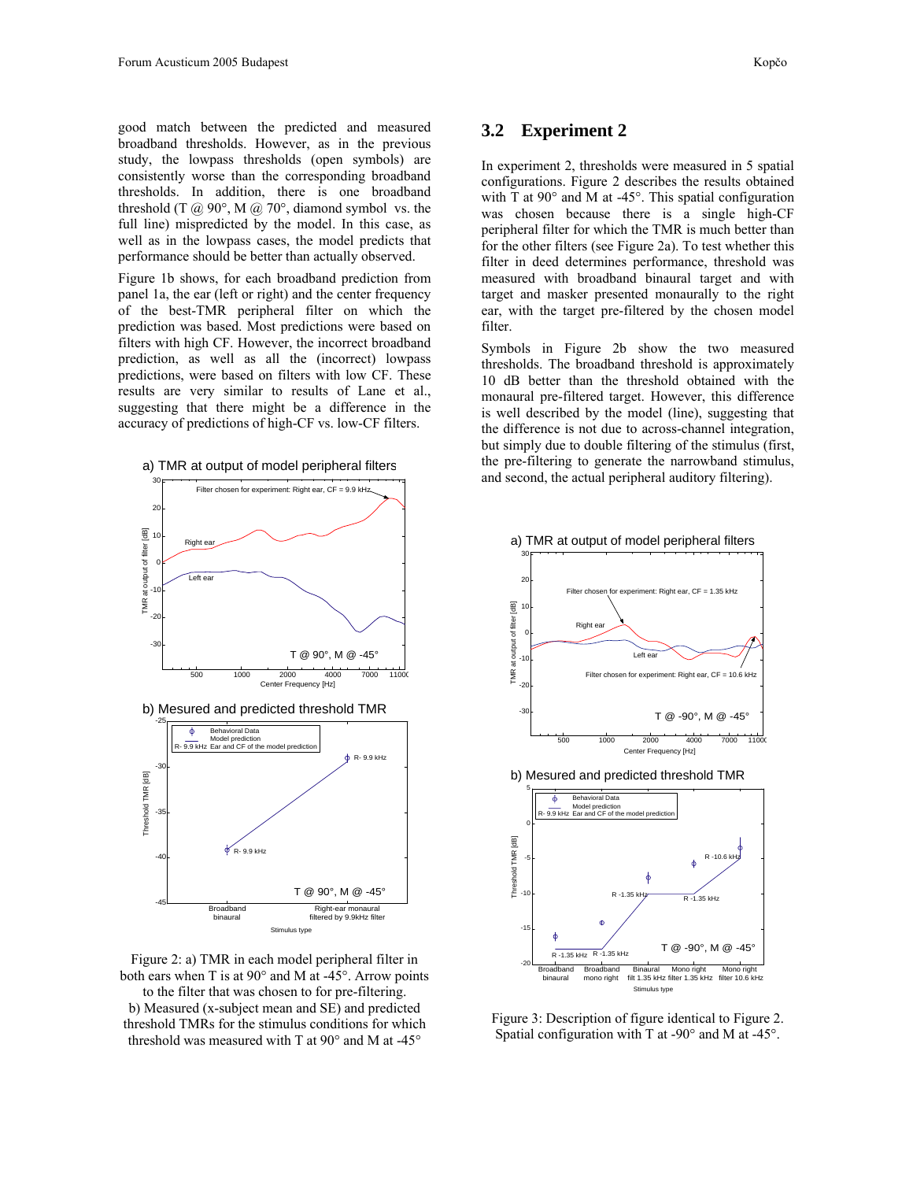good match between the predicted and measured broadband thresholds. However, as in the previous study, the lowpass thresholds (open symbols) are consistently worse than the corresponding broadband thresholds. In addition, there is one broadband threshold (T  $\omega$  90°, M  $\omega$  70°, diamond symbol vs. the full line) mispredicted by the model. In this case, as well as in the lowpass cases, the model predicts that performance should be better than actually observed.

Figure 1b shows, for each broadband prediction from panel 1a, the ear (left or right) and the center frequency of the best-TMR peripheral filter on which the prediction was based. Most predictions were based on filters with high CF. However, the incorrect broadband prediction, as well as all the (incorrect) lowpass predictions, were based on filters with low CF. These results are very similar to results of Lane et al., suggesting that there might be a difference in the accuracy of predictions of high-CF vs. low-CF filters.





Broadband binaural Right-ear monaural filtered by 9.9kHz filter -45 -40 Stimulus type T @ 90°, M @ -45°

Figure 2: a) TMR in each model peripheral filter in both ears when T is at 90° and M at -45°. Arrow points to the filter that was chosen to for pre-filtering. b) Measured (x-subject mean and SE) and predicted threshold TMRs for the stimulus conditions for which threshold was measured with T at 90° and M at -45°

### **3.2 Experiment 2**

In experiment 2, thresholds were measured in 5 spatial configurations. Figure 2 describes the results obtained with T at 90° and M at -45°. This spatial configuration was chosen because there is a single high-CF peripheral filter for which the TMR is much better than for the other filters (see Figure 2a). To test whether this filter in deed determines performance, threshold was measured with broadband binaural target and with target and masker presented monaurally to the right ear, with the target pre-filtered by the chosen model filter.

Symbols in Figure 2b show the two measured thresholds. The broadband threshold is approximately 10 dB better than the threshold obtained with the monaural pre-filtered target. However, this difference is well described by the model (line), suggesting that the difference is not due to across-channel integration, but simply due to double filtering of the stimulus (first, the pre-filtering to generate the narrowband stimulus, and second, the actual peripheral auditory filtering).





b) Mesured and predicted threshold TMR



Figure 3: Description of figure identical to Figure 2. Spatial configuration with T at -90° and M at -45°.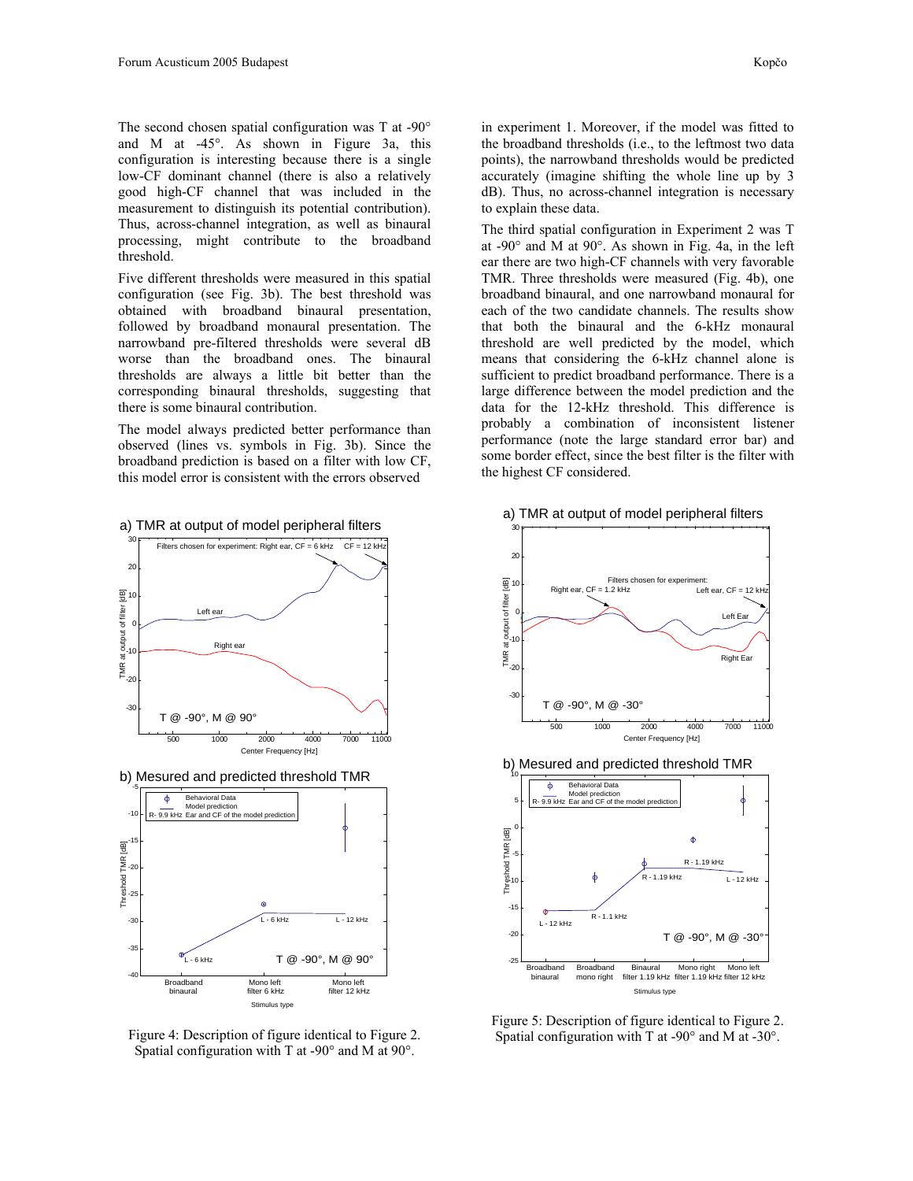The second chosen spatial configuration was T at -90° and M at -45°. As shown in Figure 3a, this configuration is interesting because there is a single low-CF dominant channel (there is also a relatively good high-CF channel that was included in the measurement to distinguish its potential contribution). Thus, across-channel integration, as well as binaural processing, might contribute to the broadband threshold.

Five different thresholds were measured in this spatial configuration (see Fig. 3b). The best threshold was obtained with broadband binaural presentation, followed by broadband monaural presentation. The narrowband pre-filtered thresholds were several dB worse than the broadband ones. The binaural thresholds are always a little bit better than the corresponding binaural thresholds, suggesting that there is some binaural contribution.

The model always predicted better performance than observed (lines vs. symbols in Fig. 3b). Since the broadband prediction is based on a filter with low CF, this model error is consistent with the errors observed

a) TMR at output of model peripheral filters



b) Mesured and predicted threshold TMR



Figure 4: Description of figure identical to Figure 2. Spatial configuration with T at -90° and M at 90°.

in experiment 1. Moreover, if the model was fitted to the broadband thresholds (i.e., to the leftmost two data points), the narrowband thresholds would be predicted accurately (imagine shifting the whole line up by 3 dB). Thus, no across-channel integration is necessary to explain these data.

The third spatial configuration in Experiment 2 was T at -90° and M at 90°. As shown in Fig. 4a, in the left ear there are two high-CF channels with very favorable TMR. Three thresholds were measured (Fig. 4b), one broadband binaural, and one narrowband monaural for each of the two candidate channels. The results show that both the binaural and the 6-kHz monaural threshold are well predicted by the model, which means that considering the 6-kHz channel alone is sufficient to predict broadband performance. There is a large difference between the model prediction and the data for the 12-kHz threshold. This difference is probably a combination of inconsistent listener performance (note the large standard error bar) and some border effect, since the best filter is the filter with the highest CF considered.



a) TMR at output of model peripheral filters

Figure 5: Description of figure identical to Figure 2. Spatial configuration with T at -90° and M at -30°.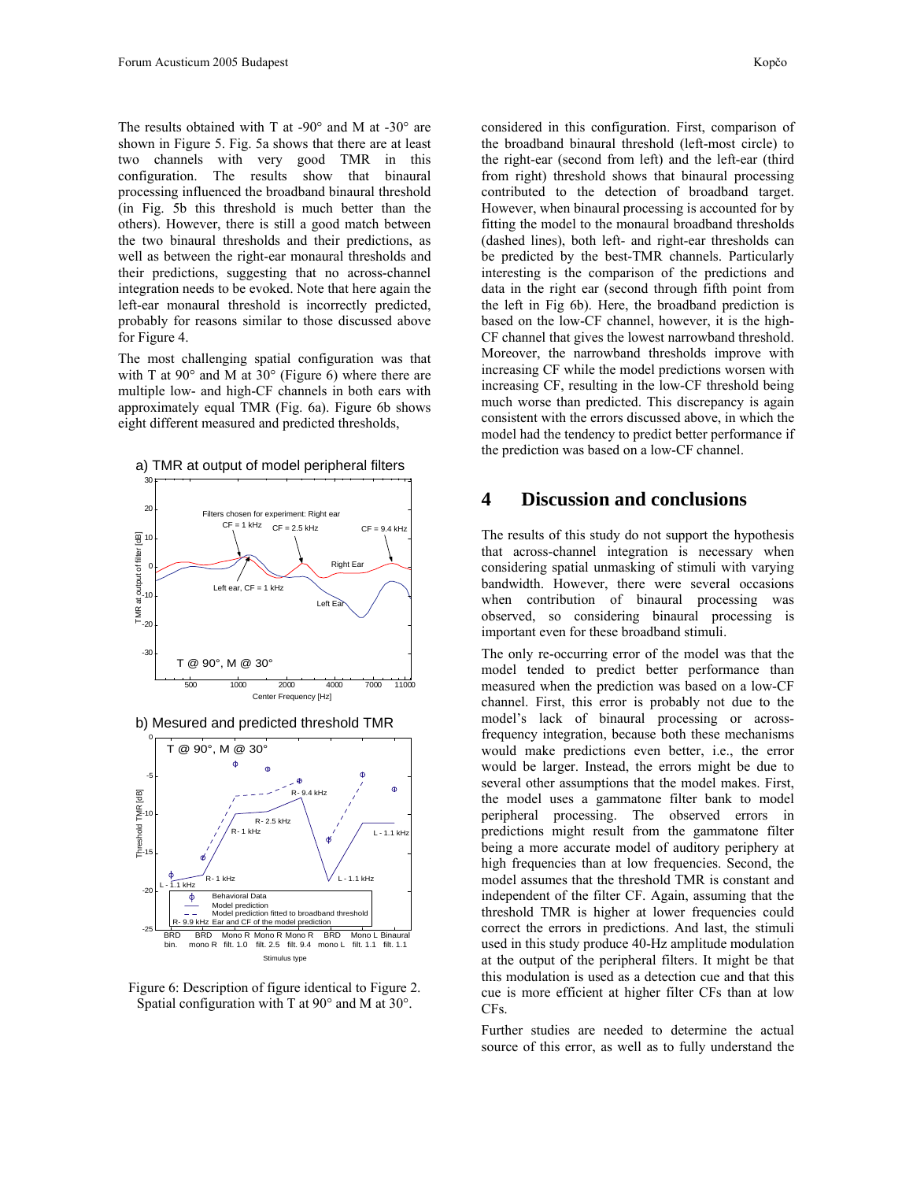The results obtained with T at -90 $\degree$  and M at -30 $\degree$  are shown in Figure 5. Fig. 5a shows that there are at least two channels with very good TMR in this configuration. The results show that binaural processing influenced the broadband binaural threshold (in Fig. 5b this threshold is much better than the others). However, there is still a good match between the two binaural thresholds and their predictions, as well as between the right-ear monaural thresholds and their predictions, suggesting that no across-channel integration needs to be evoked. Note that here again the left-ear monaural threshold is incorrectly predicted, probably for reasons similar to those discussed above for Figure 4.

The most challenging spatial configuration was that with T at  $90^{\circ}$  and M at  $30^{\circ}$  (Figure 6) where there are multiple low- and high-CF channels in both ears with approximately equal TMR (Fig. 6a). Figure 6b shows eight different measured and predicted thresholds,





b) Mesured and predicted threshold TMR



Figure 6: Description of figure identical to Figure 2. Spatial configuration with T at 90° and M at 30°.

considered in this configuration. First, comparison of the broadband binaural threshold (left-most circle) to the right-ear (second from left) and the left-ear (third from right) threshold shows that binaural processing contributed to the detection of broadband target. However, when binaural processing is accounted for by fitting the model to the monaural broadband thresholds (dashed lines), both left- and right-ear thresholds can be predicted by the best-TMR channels. Particularly interesting is the comparison of the predictions and data in the right ear (second through fifth point from the left in Fig 6b). Here, the broadband prediction is based on the low-CF channel, however, it is the high-CF channel that gives the lowest narrowband threshold. Moreover, the narrowband thresholds improve with increasing CF while the model predictions worsen with increasing CF, resulting in the low-CF threshold being much worse than predicted. This discrepancy is again consistent with the errors discussed above, in which the model had the tendency to predict better performance if the prediction was based on a low-CF channel.

#### **4 Discussion and conclusions**

The results of this study do not support the hypothesis that across-channel integration is necessary when considering spatial unmasking of stimuli with varying bandwidth. However, there were several occasions when contribution of binaural processing was observed, so considering binaural processing is important even for these broadband stimuli.

The only re-occurring error of the model was that the model tended to predict better performance than measured when the prediction was based on a low-CF channel. First, this error is probably not due to the model's lack of binaural processing or acrossfrequency integration, because both these mechanisms would make predictions even better, i.e., the error would be larger. Instead, the errors might be due to several other assumptions that the model makes. First, the model uses a gammatone filter bank to model peripheral processing. The observed errors in predictions might result from the gammatone filter being a more accurate model of auditory periphery at high frequencies than at low frequencies. Second, the model assumes that the threshold TMR is constant and independent of the filter CF. Again, assuming that the threshold TMR is higher at lower frequencies could correct the errors in predictions. And last, the stimuli used in this study produce 40-Hz amplitude modulation at the output of the peripheral filters. It might be that this modulation is used as a detection cue and that this cue is more efficient at higher filter CFs than at low CFs.

Further studies are needed to determine the actual source of this error, as well as to fully understand the